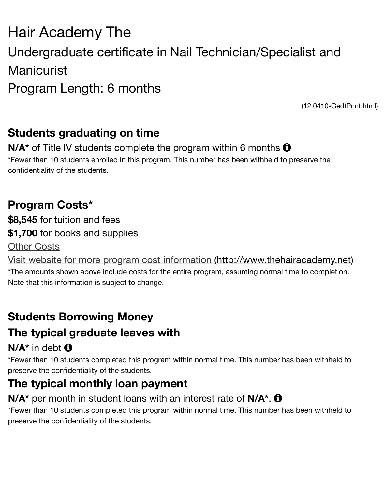# Manicurist Program Length: 6 months

 $(12.0410$ 

## **Students graduating on time**

#### **N/A<sup>\*</sup>** of Title IV students complete the program within 6 months  $\Theta$ \*Fewer than 10 students enrolled in this program. This number has been withheld to preserve th

confidentiality of the students.

## **Program Costs\***

**\$8,545** for tuition and fees **\$1,700** for books and supplies Other Costs

Visit website for more program cost information (http://www.thehairacaden

\*The amounts shown above include costs for the entire program, assuming normal time to comp Note that this information is subject to change.

# **Students Borrowing Money**

## **[The typical graduate leaves with](http://www.thehairacademy.net/)**

### $N/A^*$  in debt  $\bigoplus$

\*Fewer than 10 students completed this program within normal time. This number has been with preserve the confidentiality of the students.

# **The typical monthly loan payment**

#### **N/A<sup>\*</sup>** per month in student loans with an interest rate of **N/A<sup>\*</sup>**.  $\bullet$

\*Fewer than 10 students completed this program within normal time. This number has been with preserve the confidentiality of the students.